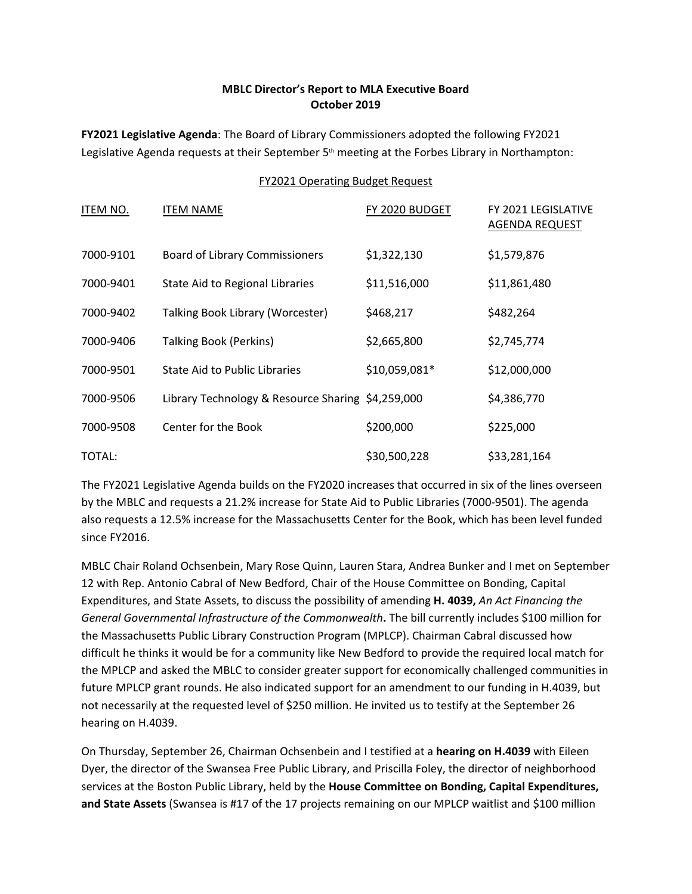## **MBLC Director's Report to MLA Executive Board October 2019**

**FY2021 Legislative Agenda**: The Board of Library Commissioners adopted the following FY2021 Legislative Agenda requests at their September 5th meeting at the Forbes Library in Northampton:

## FY2021 Operating Budget Request

| ITEM NO.  | <b>ITEM NAME</b>                                  | FY 2020 BUDGET | FY 2021 LEGISLATIVE<br><b>AGENDA REQUEST</b> |
|-----------|---------------------------------------------------|----------------|----------------------------------------------|
| 7000-9101 | <b>Board of Library Commissioners</b>             | \$1,322,130    | \$1,579,876                                  |
| 7000-9401 | State Aid to Regional Libraries                   | \$11,516,000   | \$11,861,480                                 |
| 7000-9402 | Talking Book Library (Worcester)                  | \$468,217      | \$482,264                                    |
| 7000-9406 | <b>Talking Book (Perkins)</b>                     | \$2,665,800    | \$2,745,774                                  |
| 7000-9501 | State Aid to Public Libraries                     | \$10,059,081*  | \$12,000,000                                 |
| 7000-9506 | Library Technology & Resource Sharing \$4,259,000 |                | \$4,386,770                                  |
| 7000-9508 | Center for the Book                               | \$200,000      | \$225,000                                    |
| TOTAL:    |                                                   | \$30,500,228   | \$33,281,164                                 |

The FY2021 Legislative Agenda builds on the FY2020 increases that occurred in six of the lines overseen by the MBLC and requests a 21.2% increase for State Aid to Public Libraries (7000-9501). The agenda also requests a 12.5% increase for the Massachusetts Center for the Book, which has been level funded since FY2016.

MBLC Chair Roland Ochsenbein, Mary Rose Quinn, Lauren Stara, Andrea Bunker and I met on September 12 with Rep. Antonio Cabral of New Bedford, Chair of the House Committee on Bonding, Capital Expenditures, and State Assets, to discuss the possibility of amending **H. 4039,** *An Act Financing the General Governmental Infrastructure of the Commonwealth***.** The bill currently includes \$100 million for the Massachusetts Public Library Construction Program (MPLCP). Chairman Cabral discussed how difficult he thinks it would be for a community like New Bedford to provide the required local match for the MPLCP and asked the MBLC to consider greater support for economically challenged communities in future MPLCP grant rounds. He also indicated support for an amendment to our funding in H.4039, but not necessarily at the requested level of \$250 million. He invited us to testify at the September 26 hearing on H.4039.

On Thursday, September 26, Chairman Ochsenbein and I testified at a **hearing on H.4039** with Eileen Dyer, the director of the Swansea Free Public Library, and Priscilla Foley, the director of neighborhood services at the Boston Public Library, held by the **House Committee on Bonding, Capital Expenditures, and State Assets** (Swansea is #17 of the 17 projects remaining on our MPLCP waitlist and \$100 million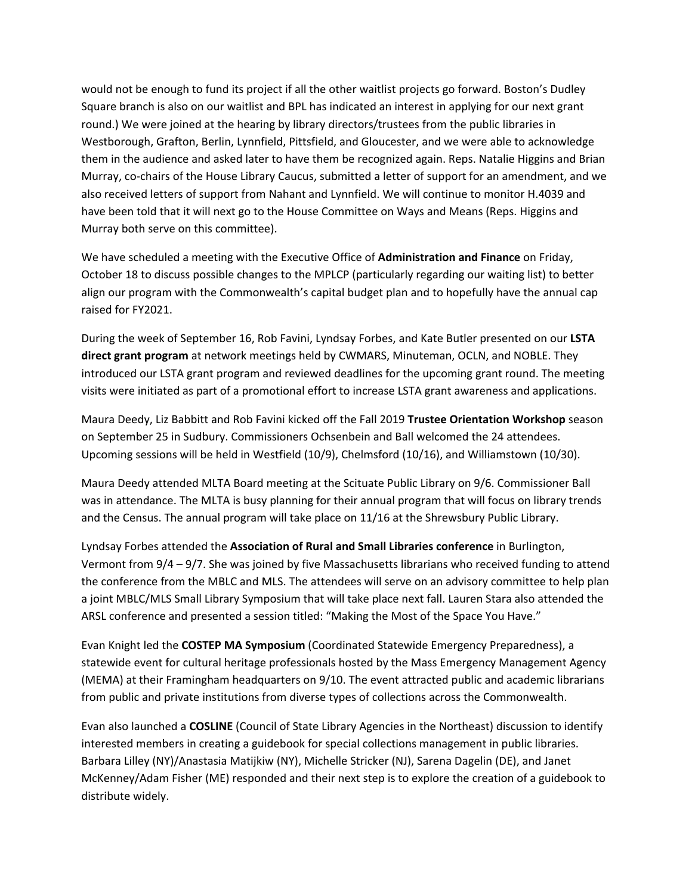would not be enough to fund its project if all the other waitlist projects go forward. Boston's Dudley Square branch is also on our waitlist and BPL has indicated an interest in applying for our next grant round.) We were joined at the hearing by library directors/trustees from the public libraries in Westborough, Grafton, Berlin, Lynnfield, Pittsfield, and Gloucester, and we were able to acknowledge them in the audience and asked later to have them be recognized again. Reps. Natalie Higgins and Brian Murray, co-chairs of the House Library Caucus, submitted a letter of support for an amendment, and we also received letters of support from Nahant and Lynnfield. We will continue to monitor H.4039 and have been told that it will next go to the House Committee on Ways and Means (Reps. Higgins and Murray both serve on this committee).

We have scheduled a meeting with the Executive Office of **Administration and Finance** on Friday, October 18 to discuss possible changes to the MPLCP (particularly regarding our waiting list) to better align our program with the Commonwealth's capital budget plan and to hopefully have the annual cap raised for FY2021.

During the week of September 16, Rob Favini, Lyndsay Forbes, and Kate Butler presented on our **LSTA direct grant program** at network meetings held by CWMARS, Minuteman, OCLN, and NOBLE. They introduced our LSTA grant program and reviewed deadlines for the upcoming grant round. The meeting visits were initiated as part of a promotional effort to increase LSTA grant awareness and applications.

Maura Deedy, Liz Babbitt and Rob Favini kicked off the Fall 2019 **Trustee Orientation Workshop** season on September 25 in Sudbury. Commissioners Ochsenbein and Ball welcomed the 24 attendees. Upcoming sessions will be held in Westfield (10/9), Chelmsford (10/16), and Williamstown (10/30).

Maura Deedy attended MLTA Board meeting at the Scituate Public Library on 9/6. Commissioner Ball was in attendance. The MLTA is busy planning for their annual program that will focus on library trends and the Census. The annual program will take place on 11/16 at the Shrewsbury Public Library.

Lyndsay Forbes attended the **Association of Rural and Small Libraries conference** in Burlington, Vermont from 9/4 – 9/7. She was joined by five Massachusetts librarians who received funding to attend the conference from the MBLC and MLS. The attendees will serve on an advisory committee to help plan a joint MBLC/MLS Small Library Symposium that will take place next fall. Lauren Stara also attended the ARSL conference and presented a session titled: "Making the Most of the Space You Have."

Evan Knight led the **COSTEP MA Symposium** (Coordinated Statewide Emergency Preparedness), a statewide event for cultural heritage professionals hosted by the Mass Emergency Management Agency (MEMA) at their Framingham headquarters on 9/10. The event attracted public and academic librarians from public and private institutions from diverse types of collections across the Commonwealth.

Evan also launched a **COSLINE** (Council of State Library Agencies in the Northeast) discussion to identify interested members in creating a guidebook for special collections management in public libraries. Barbara Lilley (NY)/Anastasia Matijkiw (NY), Michelle Stricker (NJ), Sarena Dagelin (DE), and Janet McKenney/Adam Fisher (ME) responded and their next step is to explore the creation of a guidebook to distribute widely.